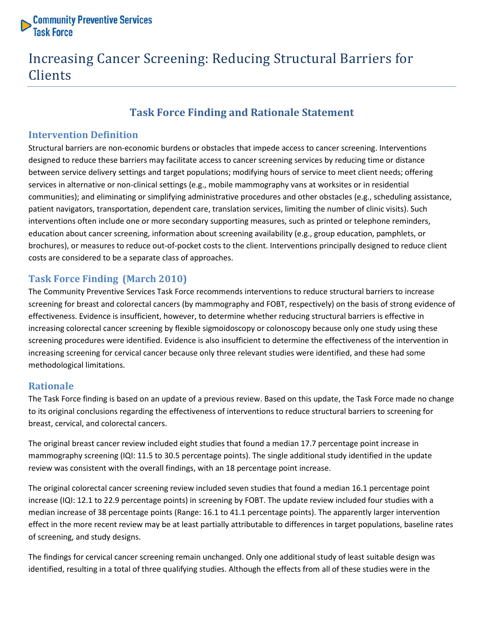

# Increasing Cancer Screening: Reducing Structural Barriers for Clients

# **Task Force Finding and Rationale Statement**

## **Intervention Definition**

Structural barriers are non-economic burdens or obstacles that impede access to cancer screening. Interventions designed to reduce these barriers may facilitate access to cancer screening services by reducing time or distance between service delivery settings and target populations; modifying hours of service to meet client needs; offering services in alternative or non-clinical settings (e.g., mobile mammography vans at worksites or in residential communities); and eliminating or simplifying administrative procedures and other obstacles (e.g., scheduling assistance, patient navigators, transportation, dependent care, translation services, limiting the number of clinic visits). Such interventions often include one or more secondary supporting measures, such as printed or telephone reminders, education about cancer screening, information about screening availability (e.g., group education, pamphlets, or brochures), or measures to reduce out-of-pocket costs to the client. Interventions principally designed to reduce client costs are considered to be a separate class of approaches.

## **Task Force Finding (March 2010)**

The Community Preventive Services Task Force recommends interventions to reduce structural barriers to increase screening for breast and colorectal cancers (by mammography and FOBT, respectively) on the basis of strong evidence of effectiveness. Evidence is insufficient, however, to determine whether reducing structural barriers is effective in increasing colorectal cancer screening by flexible sigmoidoscopy or colonoscopy because only one study using these screening procedures were identified. Evidence is also insufficient to determine the effectiveness of the intervention in increasing screening for cervical cancer because only three relevant studies were identified, and these had some methodological limitations.

#### **Rationale**

The Task Force finding is based on an update of a previous review. Based on this update, the Task Force made no change to its original conclusions regarding the effectiveness of interventions to reduce structural barriers to screening for breast, cervical, and colorectal cancers.

The original breast cancer review included eight studies that found a median 17.7 percentage point increase in mammography screening (IQI: 11.5 to 30.5 percentage points). The single additional study identified in the update review was consistent with the overall findings, with an 18 percentage point increase.

The original colorectal cancer screening review included seven studies that found a median 16.1 percentage point increase (IQI: 12.1 to 22.9 percentage points) in screening by FOBT. The update review included four studies with a median increase of 38 percentage points (Range: 16.1 to 41.1 percentage points). The apparently larger intervention effect in the more recent review may be at least partially attributable to differences in target populations, baseline rates of screening, and study designs.

The findings for cervical cancer screening remain unchanged. Only one additional study of least suitable design was identified, resulting in a total of three qualifying studies. Although the effects from all of these studies were in the